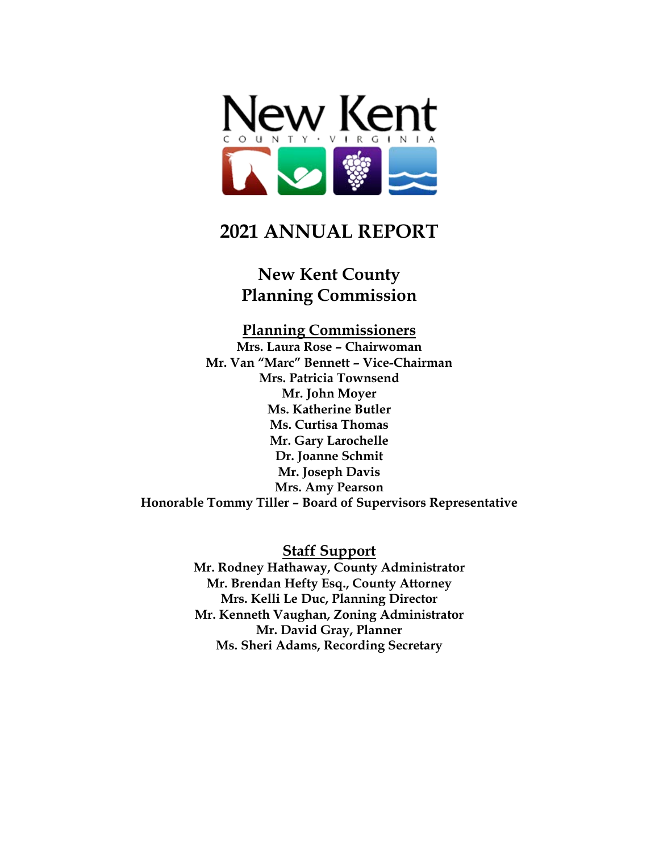

# **2021 ANNUAL REPORT**

## **New Kent County Planning Commission**

# **Planning Commissioners**

**Mrs. Laura Rose – Chairwoman Mr. Van "Marc" Bennett – Vice-Chairman Mrs. Patricia Townsend Mr. John Moyer Ms. Katherine Butler Ms. Curtisa Thomas Mr. Gary Larochelle Dr. Joanne Schmit Mr. Joseph Davis Mrs. Amy Pearson Honorable Tommy Tiller – Board of Supervisors Representative**

> **Staff Support Mr. Rodney Hathaway, County Administrator Mr. Brendan Hefty Esq., County Attorney Mrs. Kelli Le Duc, Planning Director Mr. Kenneth Vaughan, Zoning Administrator Mr. David Gray, Planner Ms. Sheri Adams, Recording Secretary**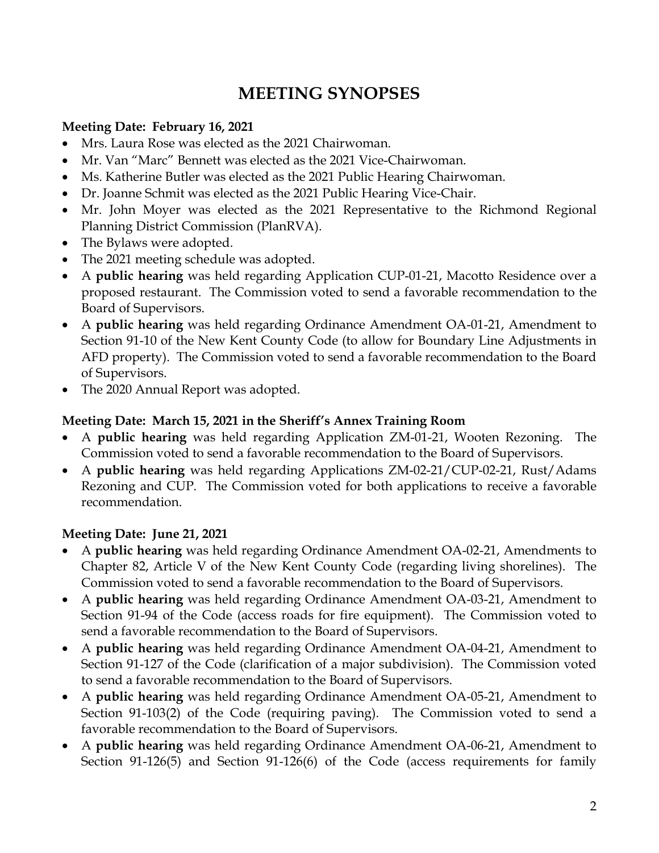# **MEETING SYNOPSES**

#### **Meeting Date: February 16, 2021**

- Mrs. Laura Rose was elected as the 2021 Chairwoman.
- Mr. Van "Marc" Bennett was elected as the 2021 Vice-Chairwoman.
- Ms. Katherine Butler was elected as the 2021 Public Hearing Chairwoman.
- Dr. Joanne Schmit was elected as the 2021 Public Hearing Vice-Chair.
- Mr. John Moyer was elected as the 2021 Representative to the Richmond Regional Planning District Commission (PlanRVA).
- The Bylaws were adopted.
- The 2021 meeting schedule was adopted.
- A **public hearing** was held regarding Application CUP-01-21, Macotto Residence over a proposed restaurant. The Commission voted to send a favorable recommendation to the Board of Supervisors.
- A **public hearing** was held regarding Ordinance Amendment OA-01-21, Amendment to Section 91-10 of the New Kent County Code (to allow for Boundary Line Adjustments in AFD property). The Commission voted to send a favorable recommendation to the Board of Supervisors.
- The 2020 Annual Report was adopted.

#### **Meeting Date: March 15, 2021 in the Sheriff's Annex Training Room**

- A **public hearing** was held regarding Application ZM-01-21, Wooten Rezoning. The Commission voted to send a favorable recommendation to the Board of Supervisors.
- A **public hearing** was held regarding Applications ZM-02-21/CUP-02-21, Rust/Adams Rezoning and CUP. The Commission voted for both applications to receive a favorable recommendation.

#### **Meeting Date: June 21, 2021**

- A **public hearing** was held regarding Ordinance Amendment OA-02-21, Amendments to Chapter 82, Article V of the New Kent County Code (regarding living shorelines). The Commission voted to send a favorable recommendation to the Board of Supervisors.
- A **public hearing** was held regarding Ordinance Amendment OA-03-21, Amendment to Section 91-94 of the Code (access roads for fire equipment). The Commission voted to send a favorable recommendation to the Board of Supervisors.
- A **public hearing** was held regarding Ordinance Amendment OA-04-21, Amendment to Section 91-127 of the Code (clarification of a major subdivision). The Commission voted to send a favorable recommendation to the Board of Supervisors.
- A **public hearing** was held regarding Ordinance Amendment OA-05-21, Amendment to Section 91-103(2) of the Code (requiring paving). The Commission voted to send a favorable recommendation to the Board of Supervisors.
- A **public hearing** was held regarding Ordinance Amendment OA-06-21, Amendment to Section 91-126(5) and Section 91-126(6) of the Code (access requirements for family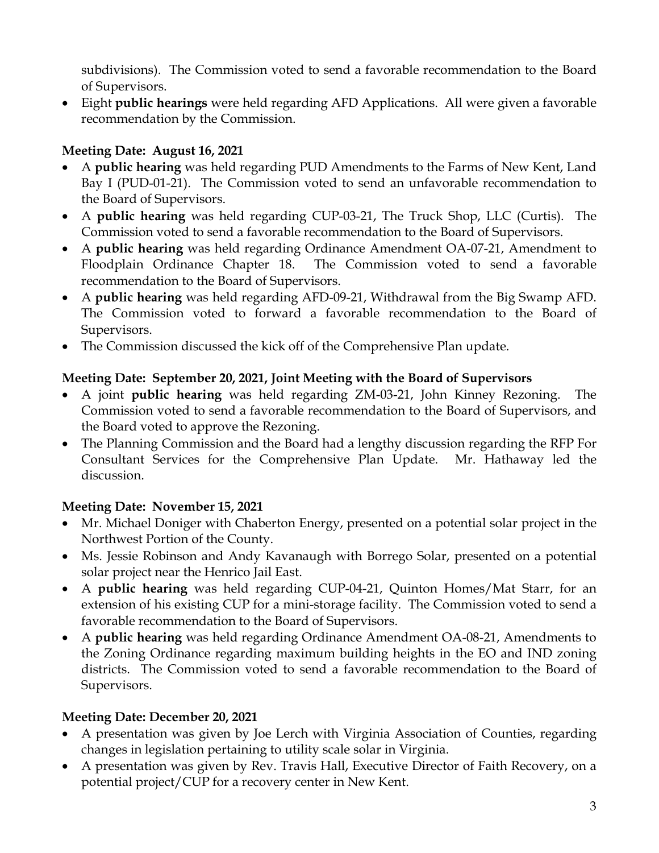subdivisions). The Commission voted to send a favorable recommendation to the Board of Supervisors.

• Eight **public hearings** were held regarding AFD Applications. All were given a favorable recommendation by the Commission.

#### **Meeting Date: August 16, 2021**

- A **public hearing** was held regarding PUD Amendments to the Farms of New Kent, Land Bay I (PUD-01-21). The Commission voted to send an unfavorable recommendation to the Board of Supervisors.
- A **public hearing** was held regarding CUP-03-21, The Truck Shop, LLC (Curtis). The Commission voted to send a favorable recommendation to the Board of Supervisors.
- A **public hearing** was held regarding Ordinance Amendment OA-07-21, Amendment to Floodplain Ordinance Chapter 18. The Commission voted to send a favorable recommendation to the Board of Supervisors.
- A **public hearing** was held regarding AFD-09-21, Withdrawal from the Big Swamp AFD. The Commission voted to forward a favorable recommendation to the Board of Supervisors.
- The Commission discussed the kick off of the Comprehensive Plan update.

#### **Meeting Date: September 20, 2021, Joint Meeting with the Board of Supervisors**

- A joint **public hearing** was held regarding ZM-03-21, John Kinney Rezoning. The Commission voted to send a favorable recommendation to the Board of Supervisors, and the Board voted to approve the Rezoning.
- The Planning Commission and the Board had a lengthy discussion regarding the RFP For Consultant Services for the Comprehensive Plan Update. Mr. Hathaway led the discussion.

#### **Meeting Date: November 15, 2021**

- Mr. Michael Doniger with Chaberton Energy, presented on a potential solar project in the Northwest Portion of the County.
- Ms. Jessie Robinson and Andy Kavanaugh with Borrego Solar, presented on a potential solar project near the Henrico Jail East.
- A **public hearing** was held regarding CUP-04-21, Quinton Homes/Mat Starr, for an extension of his existing CUP for a mini-storage facility. The Commission voted to send a favorable recommendation to the Board of Supervisors.
- A **public hearing** was held regarding Ordinance Amendment OA-08-21, Amendments to the Zoning Ordinance regarding maximum building heights in the EO and IND zoning districts. The Commission voted to send a favorable recommendation to the Board of Supervisors.

#### **Meeting Date: December 20, 2021**

- A presentation was given by Joe Lerch with Virginia Association of Counties, regarding changes in legislation pertaining to utility scale solar in Virginia.
- A presentation was given by Rev. Travis Hall, Executive Director of Faith Recovery, on a potential project/CUP for a recovery center in New Kent.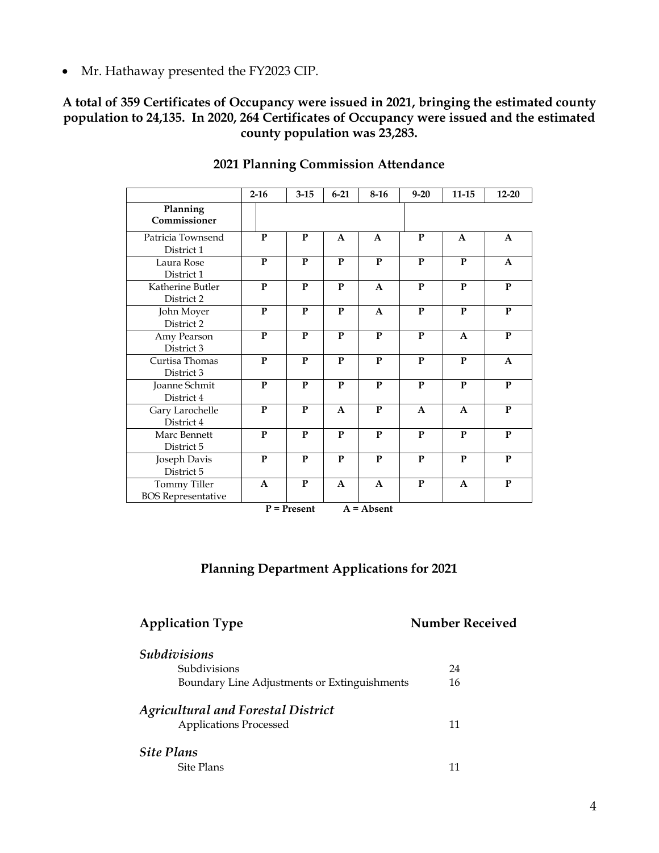• Mr. Hathaway presented the FY2023 CIP.

#### **A total of 359 Certificates of Occupancy were issued in 2021, bringing the estimated county population to 24,135. In 2020, 264 Certificates of Occupancy were issued and the estimated county population was 23,283.**

|                                           | $2 - 16$     | $3 - 15$                            | $6 - 21$     | $8-16$                         | $9 - 20$     | $11 - 15$    | $12 - 20$    |
|-------------------------------------------|--------------|-------------------------------------|--------------|--------------------------------|--------------|--------------|--------------|
| Planning<br>Commissioner                  |              |                                     |              |                                |              |              |              |
| Patricia Townsend<br>District 1           | P            | $\mathbf{P}$                        | A            | A                              | P            | A            | $\mathbf{A}$ |
| Laura Rose<br>District 1                  | $\mathbf{P}$ | P                                   | P            | P                              | P            | $\mathbf{P}$ | $\mathbf{A}$ |
| Katherine Butler<br>District 2            | $\mathbf{P}$ | $\mathbf{P}$                        | $\mathbf{P}$ | $\mathbf{A}$                   | ${\bf P}$    | $\mathbf{P}$ | ${\bf P}$    |
| John Moyer<br>District 2                  | $\mathbf{P}$ | $\mathbf{P}$                        | $\mathbf{P}$ | $\mathbf{A}$                   | $\mathbf{P}$ | $\mathbf{P}$ | $\mathbf{P}$ |
| Amy Pearson<br>District 3                 | $\mathbf{P}$ | $\mathbf{P}$                        | $\mathbf{P}$ | $\mathbf{P}$                   | $\mathbf{P}$ | $\mathbf{A}$ | $\mathbf{P}$ |
| Curtisa Thomas<br>District 3              | $\mathbf{P}$ | $\mathbf{P}$                        | $\mathbf{P}$ | $\mathbf{P}$                   | $\mathbf{P}$ | $\mathbf{P}$ | $\mathbf{A}$ |
| Joanne Schmit<br>District 4               | $\mathbf{P}$ | $\mathbf{P}$                        | $\mathbf{P}$ | $\mathbf{P}$                   | $\mathbf{P}$ | $\mathbf{P}$ | $\mathbf P$  |
| Gary Larochelle<br>District 4             | $\mathbf{P}$ | $\mathbf{P}$                        | $\mathbf{A}$ | $\mathbf{P}$                   | $\mathbf{A}$ | $\mathbf{A}$ | $\mathbf{P}$ |
| Marc Bennett<br>District 5                | $\mathbf{P}$ | $\mathbf{P}$                        | P            | $\mathbf{P}$                   | P            | $\mathbf{P}$ | $\mathbf{P}$ |
| Joseph Davis<br>District 5                | $\mathbf{P}$ | $\mathbf{P}$                        | ${\bf P}$    | $\mathbf{P}$                   | $\mathbf{P}$ | $\mathbf{P}$ | $\mathbf{P}$ |
| Tommy Tiller<br><b>BOS</b> Representative | $\mathbf{A}$ | ${\bf P}$<br>$D = D_{\text{model}}$ | A            | $\mathbf{A}$<br>$A = A$ leasat | ${\bf P}$    | $\mathbf{A}$ | ${\bf P}$    |

#### **2021 Planning Commission Attendance**

**P = Present A = Absent**

#### **Planning Department Applications for 2021**

#### **Application Type <b>Number Received**

| <b>Subdivisions</b>                                                 |    |
|---------------------------------------------------------------------|----|
| <b>Subdivisions</b><br>Boundary Line Adjustments or Extinguishments |    |
|                                                                     |    |
| <b>Applications Processed</b>                                       | 11 |
| <b>Site Plans</b>                                                   |    |
| Site Plans                                                          |    |